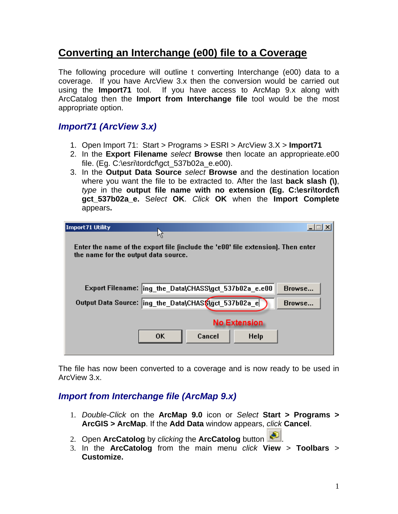## **Converting an Interchange (e00) file to a Coverage**

The following procedure will outline t converting Interchange (e00) data to a coverage. If you have ArcView 3.x then the conversion would be carried out using the **Import71** tool. If you have access to ArcMap 9.x along with ArcCatalog then the **Import from Interchange file** tool would be the most appropriate option.

## *Import71 (ArcView 3.x)*

- 1. Open Import 71: Start > Programs > ESRI > ArcView 3.X > **Import71**
- 2. In the **Export Filename** *select* **Browse** then locate an approprieate.e00 file. (Eq. C:\esri\tordcf\gct 537b02a e.e00).
- 3. In the **Output Data Source** *select* **Browse** and the destination location where you want the file to be extracted to. After the last **back slash (\)**, *type* in the **output file name with no extension (Eg. C:\esri\tordcf\ gct\_537b02a\_e.** S*elect* **OK**. *Click* **OK** when the **Import Complete**  appears**.**

| Import 71 Utility<br>٢ļ                                                                                                  |                  |  |  |
|--------------------------------------------------------------------------------------------------------------------------|------------------|--|--|
| Enter the name of the export file (include the 'e00' file extension). Then enter<br>the name for the output data source. |                  |  |  |
| Export Filename: ing the Data\CHASS\gct 537b02a e.e00<br>Output Data Source:  ing_the_Data\CHAS\$\gct_537b02a_e          | Browse<br>Browse |  |  |
| <b>No Extension</b><br><b>OK</b><br>Cancel<br><b>Help</b>                                                                |                  |  |  |
|                                                                                                                          |                  |  |  |

The file has now been converted to a coverage and is now ready to be used in ArcView 3.x.

## *Import from Interchange file (ArcMap 9.x)*

- 1. *Double-Click* on the **ArcMap 9.0** icon or *Select* **Start > Programs > ArcGIS > ArcMap**. If the **Add Data** window appears, *click* **Cancel**.
- 2. Open **ArcCatolog** by *clicking* the **ArcCatolog** button .
- 3. In the **ArcCatolog** from the main menu *click* **View** > **Toolbars** > **Customize.**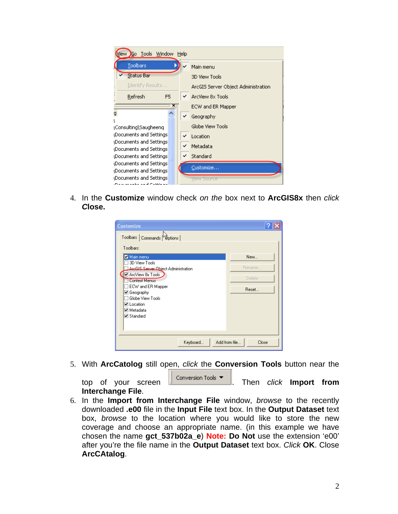

4. In the **Customize** window check *on the* box next to **ArcGIS8x** then *click C***lose.**

| <b>Customize</b>                                                                                      |                         |
|-------------------------------------------------------------------------------------------------------|-------------------------|
| Toolbars Commands butions                                                                             |                         |
| Toolbars:                                                                                             |                         |
| Main menu                                                                                             | New                     |
| 3D View Tools<br>ArcGIS Server Object Administration<br>ArcView 8x Tools<br><b>Context Menus</b>      | Rename<br><b>Delete</b> |
| ECW and ER Mapper<br>☑ Geography<br>Globe View Tools<br>☑ Location<br>⊮ Metadata<br>$\nabla$ Standard | Reset                   |
| Add from file<br>Keyboard                                                                             | Close                   |

5. With **ArcCatolog** still open, *click* the **Conversion Tools** button near the

top of your screen **conversion Tools Then** *click* **Import from Interchange File**.

6. In the **Import from Interchange File** window, *browse* to the recently downloaded **.e00** file in the **Input File** text box. In the **Output Dataset** text box, *browse* to the location where you would like to store the new coverage and choose an appropriate name. (in this example we have chosen the name **gct\_537b02a\_e**) **Note: Do Not** use the extension 'e00' after you're the file name in the **Output Dataset** text box. *Click* **OK**. Close **ArcCAtalog**.